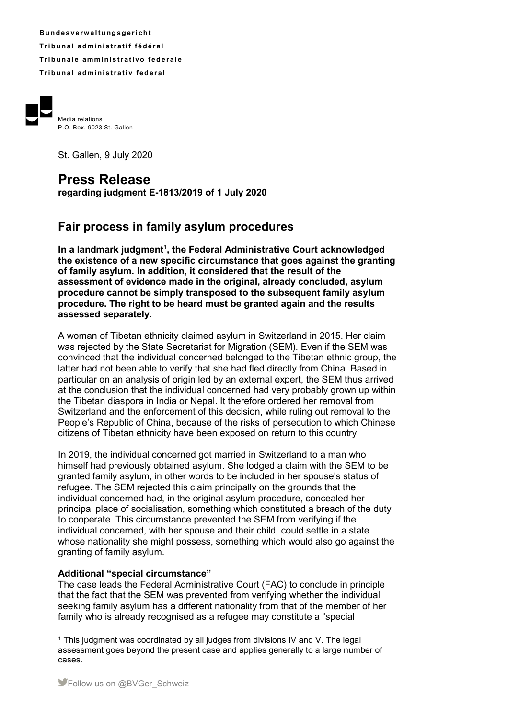**B u n d e s v e rw a l t u ng s g e r i ch t Tr i b u n a l ad m i ni s t r a t i f f éd é r a l Tribunale amministrativo federale Tribunal administrativ federal** 



Media relations P.O. Box, 9023 St. Gallen

St. Gallen, 9 July 2020

# **Press Release**

**regarding judgment E-1813/2019 of 1 July 2020** 

# **Fair process in family asylum procedures**

**In a landmark judgment<sup>1</sup> , the Federal Administrative Court acknowledged the existence of a new specific circumstance that goes against the granting of family asylum. In addition, it considered that the result of the assessment of evidence made in the original, already concluded, asylum procedure cannot be simply transposed to the subsequent family asylum procedure. The right to be heard must be granted again and the results assessed separately.** 

A woman of Tibetan ethnicity claimed asylum in Switzerland in 2015. Her claim was rejected by the State Secretariat for Migration (SEM). Even if the SEM was convinced that the individual concerned belonged to the Tibetan ethnic group, the latter had not been able to verify that she had fled directly from China. Based in particular on an analysis of origin led by an external expert, the SEM thus arrived at the conclusion that the individual concerned had very probably grown up within the Tibetan diaspora in India or Nepal. It therefore ordered her removal from Switzerland and the enforcement of this decision, while ruling out removal to the People's Republic of China, because of the risks of persecution to which Chinese citizens of Tibetan ethnicity have been exposed on return to this country.

In 2019, the individual concerned got married in Switzerland to a man who himself had previously obtained asylum. She lodged a claim with the SEM to be granted family asylum, in other words to be included in her spouse's status of refugee. The SEM rejected this claim principally on the grounds that the individual concerned had, in the original asylum procedure, concealed her principal place of socialisation, something which constituted a breach of the duty to cooperate. This circumstance prevented the SEM from verifying if the individual concerned, with her spouse and their child, could settle in a state whose nationality she might possess, something which would also go against the granting of family asylum.

## **Additional "special circumstance"**

The case leads the Federal Administrative Court (FAC) to conclude in principle that the fact that the SEM was prevented from verifying whether the individual seeking family asylum has a different nationality from that of the member of her family who is already recognised as a refugee may constitute a "special

 $\overline{a}$ <sup>1</sup> This judgment was coordinated by all judges from divisions IV and V. The legal assessment goes beyond the present case and applies generally to a large number of cases.